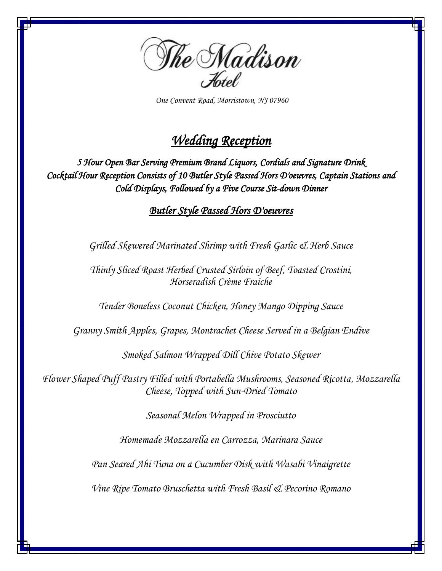

 *One Convent Road, Morristown, NJ 07960*

# *Wedding Reception*

*5 Hour Open Bar Serving Premium Brand Liquors, Cordials and Signature Drink Cocktail Hour Reception Consists of 10 Butler Style Passed Hors D'oeuvres, Captain Stations and Cold Displays, Followed by a Five Course Sit-down Dinner* 

*Butler Style Passed Hors D'oeuvres* 

*Grilled Skewered Marinated Shrimp with Fresh Garlic & Herb Sauce*

*Thinly Sliced Roast Herbed Crusted Sirloin of Beef, Toasted Crostini, Horseradish Crème Fraiche*

*Tender Boneless Coconut Chicken, Honey Mango Dipping Sauce* 

*Granny Smith Apples, Grapes, Montrachet Cheese Served in a Belgian Endive*

*Smoked Salmon Wrapped Dill Chive Potato Skewer*

*Flower Shaped Puff Pastry Filled with Portabella Mushrooms, Seasoned Ricotta, Mozzarella Cheese, Topped with Sun-Dried Tomato*

*Seasonal Melon Wrapped in Prosciutto*

*Homemade Mozzarella en Carrozza, Marinara Sauce*

*Pan Seared Ahi Tuna on a Cucumber Disk with Wasabi Vinaigrette*

*Vine Ripe Tomato Bruschetta with Fresh Basil & Pecorino Romano*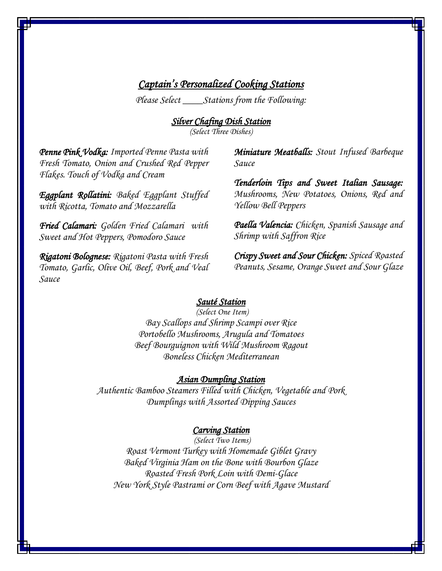# *Captain's Personalized Cooking Stations*

*Please Select \_\_\_\_Stations from the Following:* 

*Silver Chafing Dish Station* 

*(Select Three Dishes)*

*Penne Pink Vodka: Imported Penne Pasta with Fresh Tomato, Onion and Crushed Red Pepper Flakes. Touch of Vodka and Cream*

*Eggplant Rollatini: Baked Eggplant Stuffed with Ricotta, Tomato and Mozzarella*

*Fried Calamari: Golden Fried Calamari with Sweet and Hot Peppers, Pomodoro Sauce*

*Rigatoni Bolognese: Rigatoni Pasta with Fresh Tomato, Garlic, Olive Oil, Beef, Pork and Veal Sauce*

*Miniature Meatballs: Stout Infused Barbeque Sauce* 

*Tenderloin Tips and Sweet Italian Sausage: Mushrooms, New Potatoes, Onions, Red and Yellow Bell Peppers*

*Paella Valencia: Chicken, Spanish Sausage and Shrimp with Saffron Rice*

*Crispy Sweet and Sour Chicken: Spiced Roasted Peanuts, Sesame, Orange Sweet and Sour Glaze*

#### *Sauté Station*

*(Select One Item) Bay Scallops and Shrimp Scampi over Rice Portobello Mushrooms, Arugula and Tomatoes Beef Bourguignon with Wild Mushroom Ragout Boneless Chicken Mediterranean* 

## *Asian Dumpling Station*

*Authentic Bamboo Steamers Filled with Chicken, Vegetable and Pork Dumplings with Assorted Dipping Sauces*

#### *Carving Station*

 *(Select Two Items) Roast Vermont Turkey with Homemade Giblet Gravy Baked Virginia Ham on the Bone with Bourbon Glaze Roasted Fresh Pork Loin with Demi-Glace New York Style Pastrami or Corn Beef with Agave Mustard*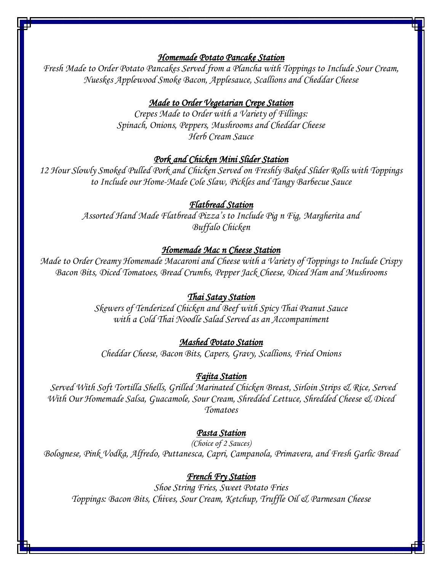#### *Homemade Potato Pancake Station*

*Fresh Made to Order Potato Pancakes Served from a Plancha with Toppings to Include Sour Cream, Nueskes Applewood Smoke Bacon, Applesauce, Scallions and Cheddar Cheese*

### *Made to Order Vegetarian Crepe Station*

*Crepes Made to Order with a Variety of Fillings: Spinach, Onions, Peppers, Mushrooms and Cheddar Cheese Herb Cream Sauce*

## *Pork and Chicken Mini Slider Station*

*12 Hour Slowly Smoked Pulled Pork and Chicken Served on Freshly Baked Slider Rolls with Toppings to Include our Home-Made Cole Slaw, Pickles and Tangy Barbecue Sauce* 

## *Flatbread Station*

*Assorted Hand Made Flatbread Pizza's to Include Pig n Fig, Margherita and Buffalo Chicken*

#### *Homemade Mac n Cheese Station*

*Made to Order Creamy Homemade Macaroni and Cheese with a Variety of Toppings to Include Crispy Bacon Bits, Diced Tomatoes, Bread Crumbs, Pepper Jack Cheese, Diced Ham and Mushrooms*

## *Thai Satay Station*

*Skewers of Tenderized Chicken and Beef with Spicy Thai Peanut Sauce with a Cold Thai Noodle Salad Served as an Accompaniment*

### *Mashed Potato Station*

*Cheddar Cheese, Bacon Bits, Capers, Gravy, Scallions, Fried Onions*

#### *Fajita Station*

*Served With Soft Tortilla Shells, Grilled Marinated Chicken Breast, Sirloin Strips & Rice, Served With Our Homemade Salsa, Guacamole, Sour Cream, Shredded Lettuce, Shredded Cheese & Diced Tomatoes*

#### *Pasta Station*

*(Choice of 2 Sauces) Bolognese, Pink Vodka, Alfredo, Puttanesca, Capri, Campanola, Primavera, and Fresh Garlic Bread*

#### *French Fry Station*

*Shoe String Fries, Sweet Potato Fries Toppings: Bacon Bits, Chives, Sour Cream, Ketchup, Truffle Oil & Parmesan Cheese*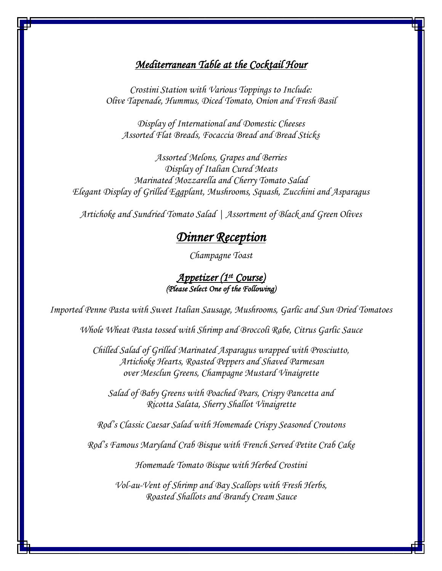## *Mediterranean Table at the Cocktail Hour*

*Crostini Station with Various Toppings to Include: Olive Tapenade, Hummus, Diced Tomato, Onion and Fresh Basil*

*Display of International and Domestic Cheeses Assorted Flat Breads, Focaccia Bread and Bread Sticks*

*Assorted Melons, Grapes and Berries Display of Italian Cured Meats Marinated Mozzarella and Cherry Tomato Salad Elegant Display of Grilled Eggplant, Mushrooms, Squash, Zucchini and Asparagus*

*Artichoke and Sundried Tomato Salad | Assortment of Black and Green Olives*

# *Dinner Reception*

*Champagne Toast*

## *Appetizer (1st Course) (Please Select One of the Following)*

*Imported Penne Pasta with Sweet Italian Sausage, Mushrooms, Garlic and Sun Dried Tomatoes*

*Whole Wheat Pasta tossed with Shrimp and Broccoli Rabe, Citrus Garlic Sauce*

*Chilled Salad of Grilled Marinated Asparagus wrapped with Prosciutto, Artichoke Hearts, Roasted Peppers and Shaved Parmesan over Mesclun Greens, Champagne Mustard Vinaigrette*

*Salad of Baby Greens with Poached Pears, Crispy Pancetta and Ricotta Salata, Sherry Shallot Vinaigrette*

*Rod's Classic Caesar Salad with Homemade Crispy Seasoned Croutons*

*Rod's Famous Maryland Crab Bisque with French Served Petite Crab Cake*

*Homemade Tomato Bisque with Herbed Crostini*

*Vol-au-Vent of Shrimp and Bay Scallops with Fresh Herbs, Roasted Shallots and Brandy Cream Sauce*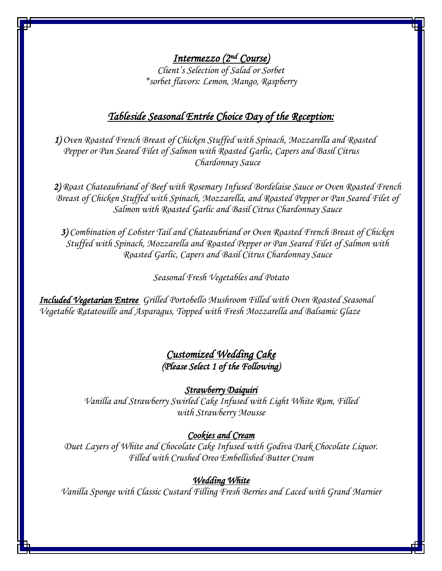*Intermezzo (2nd Course) Client's Selection of Salad or Sorbet \*sorbet flavors: Lemon, Mango, Raspberry*

# *Tableside Seasonal Entrée Choice Day of the Reception:*

*1) Oven Roasted French Breast of Chicken Stuffed with Spinach, Mozzarella and Roasted Pepper or Pan Seared Filet of Salmon with Roasted Garlic, Capers and Basil Citrus Chardonnay Sauce*

*2) Roast Chateaubriand of Beef with Rosemary Infused Bordelaise Sauce or Oven Roasted French Breast of Chicken Stuffed with Spinach, Mozzarella, and Roasted Pepper or Pan Seared Filet of Salmon with Roasted Garlic and Basil Citrus Chardonnay Sauce*

*3) Combination of Lobster Tail and Chateaubriand or Oven Roasted French Breast of Chicken Stuffed with Spinach, Mozzarella and Roasted Pepper or Pan Seared Filet of Salmon with Roasted Garlic, Capers and Basil Citrus Chardonnay Sauce*

*Seasonal Fresh Vegetables and Potato*

*Included Vegetarian Entree Grilled Portobello Mushroom Filled with Oven Roasted Seasonal Vegetable Ratatouille and Asparagus, Topped with Fresh Mozzarella and Balsamic Glaze*

# *Customized Wedding Cake (Please Select 1 of the Following)*

#### *Strawberry Daiquiri*

*Vanilla and Strawberry Swirled Cake Infused with Light White Rum, Filled with Strawberry Mousse*

## *Cookies and Cream*

*Duet Layers of White and Chocolate Cake Infused with Godiva Dark Chocolate Liquor. Filled with Crushed Oreo Embellished Butter Cream*

### *Wedding White*

*Vanilla Sponge with Classic Custard Filling Fresh Berries and Laced with Grand Marnier*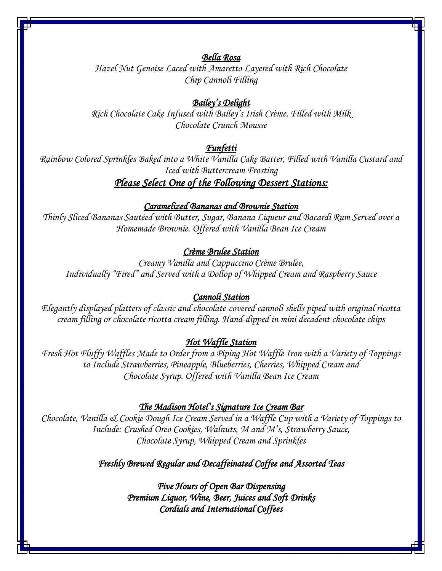## *Bella Rosa*

*Hazel Nut Genoise Laced with Amaretto Layered with Rich Chocolate Chip Cannoli Filling*

## *Bailey's Delight*

*Rich Chocolate Cake Infused with Bailey's Irish Crème. Filled with Milk Chocolate Crunch Mousse*

## *Funfetti*

*Rainbow Colored Sprinkles Baked into a White Vanilla Cake Batter, Filled with Vanilla Custard and Iced with Buttercream Frosting*

# *Please Select One of the Following Dessert Stations:*

#### *Caramelized Bananas and Brownie Station*

*Thinly Sliced Bananas Sautéed with Butter, Sugar, Banana Liqueur and Bacardi Rum Served over a Homemade Brownie. Offered with Vanilla Bean Ice Cream*

## *Crème Brulee Station*

*Creamy Vanilla and Cappuccino Crème Brulee, Individually "Fired" and Served with a Dollop of Whipped Cream and Raspberry Sauce*

### *Cannoli Station*

*Elegantly displayed platters of classic and chocolate-covered cannoli shells piped with original ricotta cream filling or chocolate ricotta cream filling. Hand-dipped in mini decadent chocolate chips*

#### *Hot Waffle Station*

*Fresh Hot Fluffy Waffles Made to Order from a Piping Hot Waffle Iron with a Variety of Toppings to Include Strawberries, Pineapple, Blueberries, Cherries, Whipped Cream and Chocolate Syrup. Offered with Vanilla Bean Ice Cream*

#### *The Madison Hotel's Signature Ice Cream Bar*

*Chocolate, Vanilla & Cookie Dough Ice Cream Served in a Waffle Cup with a Variety of Toppings to Include: Crushed Oreo Cookies, Walnuts, M and M's, Strawberry Sauce, Chocolate Syrup, Whipped Cream and Sprinkles*

### *Freshly Brewed Regular and Decaffeinated Coffee and Assorted Teas*

*Five Hours of Open Bar Dispensing Premium Liquor, Wine, Beer, Juices and Soft Drinks Cordials and International Coffees*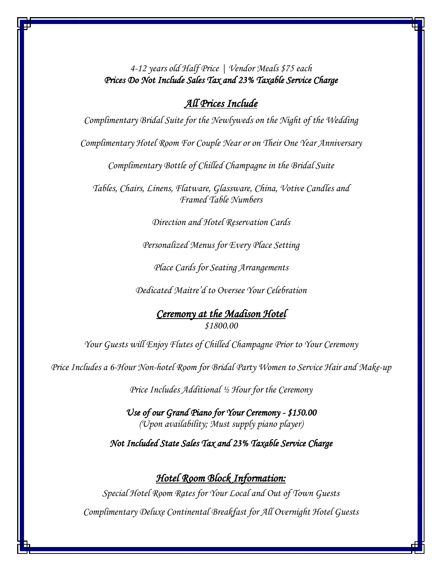*4-12 years old Half Price | Vendor Meals \$75 each Prices Do Not Include Sales Tax and 23% Taxable Service Charge* 

## *All Prices Include*

*Complimentary Bridal Suite for the Newlyweds on the Night of the Wedding*

*Complimentary Hotel Room For Couple Near or on Their One Year Anniversary*

*Complimentary Bottle of Chilled Champagne in the Bridal Suite* 

*Tables, Chairs, Linens, Flatware, Glassware, China, Votive Candles and Framed Table Numbers*

*Direction and Hotel Reservation Cards* 

*Personalized Menus for Every Place Setting*

*Place Cards for Seating Arrangements*

*Dedicated Maitre'd to Oversee Your Celebration*

*Ceremony at the Madison Hotel \$1800.00*

*Your Guests will Enjoy Flutes of Chilled Champagne Prior to Your Ceremony*

*Price Includes a 6-Hour Non-hotel Room for Bridal Party Women to Service Hair and Make-up*

*Price Includes Additional ½ Hour for the Ceremony* 

*Use of our Grand Piano for Your Ceremony - \$150.00 (Upon availability; Must supply piano player)* 

*Not Included State Sales Tax and 23% Taxable Service Charge* 

# *Hotel Room Block Information:*

*Special Hotel Room Rates for Your Local and Out of Town Guests Complimentary Deluxe Continental Breakfast for All Overnight Hotel Guests*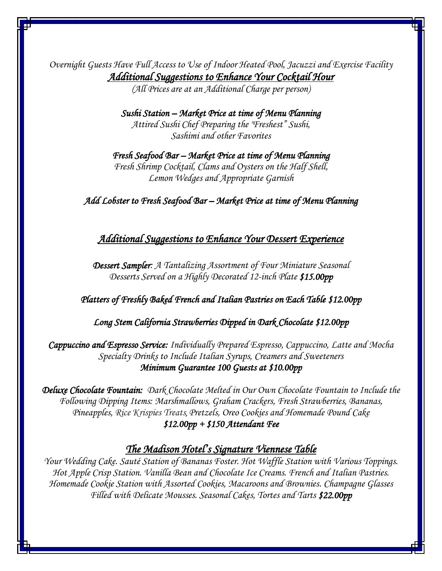*Overnight Guests Have Full Access to Use of Indoor Heated Pool, Jacuzzi and Exercise Facility Additional Suggestions to Enhance Your Cocktail Hour* 

*(All Prices are at an Additional Charge per person)*

*Sushi Station – Market Price at time of Menu Planning Attired Sushi Chef Preparing the "Freshest" Sushi, Sashimi and other Favorites*

*Fresh Seafood Bar – Market Price at time of Menu Planning Fresh Shrimp Cocktail, Clams and Oysters on the Half Shell, Lemon Wedges and Appropriate Garnish*

*Add Lobster to Fresh Seafood Bar – Market Price at time of Menu Planning* 

## *Additional Suggestions to Enhance Your Dessert Experience*

*Dessert Sampler: A Tantalizing Assortment of Four Miniature Seasonal Desserts Served on a Highly Decorated 12-inch Plate \$15.00pp* 

*Platters of Freshly Baked French and Italian Pastries on Each Table \$12.00pp*

*Long Stem California Strawberries Dipped in Dark Chocolate \$12.00pp*

*Cappuccino and Espresso Service: Individually Prepared Espresso, Cappuccino, Latte and Mocha Specialty Drinks to Include Italian Syrups, Creamers and Sweeteners Minimum Guarantee 100 Guests at \$10.00pp* 

*Deluxe Chocolate Fountain: Dark Chocolate Melted in Our Own Chocolate Fountain to Include the Following Dipping Items: Marshmallows, Graham Crackers, Fresh Strawberries, Bananas, Pineapples, Rice Krispies Treats, Pretzels, Oreo Cookies and Homemade Pound Cake* 

*\$12.00pp + \$150 Attendant Fee*

## *The Madison Hotel's Signature Viennese Table*

*Your Wedding Cake. Sauté Station of Bananas Foster. Hot Waffle Station with Various Toppings. Hot Apple Crisp Station. Vanilla Bean and Chocolate Ice Creams. French and Italian Pastries. Homemade Cookie Station with Assorted Cookies, Macaroons and Brownies. Champagne Glasses Filled with Delicate Mousses. Seasonal Cakes, Tortes and Tarts \$22.00pp*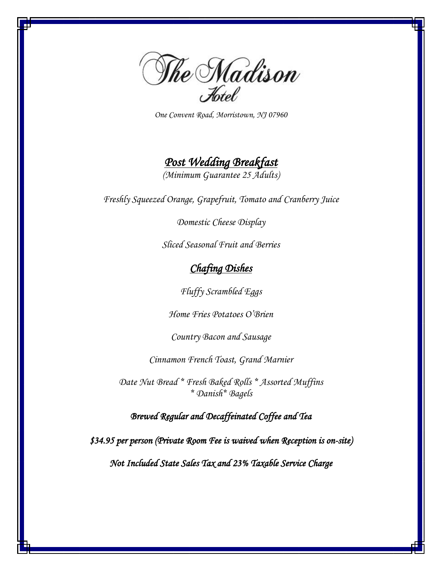

*One Convent Road, Morristown, NJ 07960*

# *Post Wedding Breakfast*

*(Minimum Guarantee 25 Adults)*

*Freshly Squeezed Orange, Grapefruit, Tomato and Cranberry Juice*

*Domestic Cheese Display*

*Sliced Seasonal Fruit and Berries*

# *Chafing Dishes*

*Fluffy Scrambled Eggs*

*Home Fries Potatoes O'Brien*

*Country Bacon and Sausage*

*Cinnamon French Toast, Grand Marnier*

*Date Nut Bread \* Fresh Baked Rolls \* Assorted Muffins \* Danish\* Bagels*

*Brewed Regular and Decaffeinated Coffee and Tea* 

*\$34.95 per person (Private Room Fee is waived when Reception is on-site)* 

*Not Included State Sales Tax and 23% Taxable Service Charge*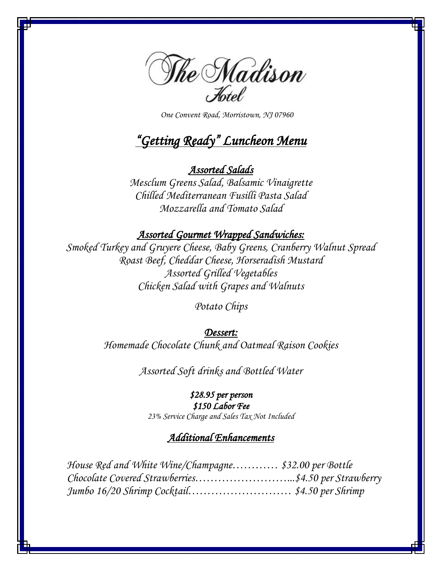

 *One Convent Road, Morristown, NJ 07960*

# *"Getting Ready" Luncheon Menu*

# *Assorted Salads*

*Mesclum Greens Salad, Balsamic Vinaigrette Chilled Mediterranean Fusilli Pasta Salad Mozzarella and Tomato Salad*

# *Assorted Gourmet Wrapped Sandwiches:*

*Smoked Turkey and Gruyere Cheese, Baby Greens, Cranberry Walnut Spread Roast Beef, Cheddar Cheese, Horseradish Mustard Assorted Grilled Vegetables Chicken Salad with Grapes and Walnuts*

*Potato Chips*

## *Dessert:*

*Homemade Chocolate Chunk and Oatmeal Raison Cookies*

*Assorted Soft drinks and Bottled Water*

# *\$28.95 per person*

*\$150 Labor Fee* 

*23% Service Charge and Sales Tax Not Included*

## *Additional Enhancements*

 *House Red and White Wine/Champagne………… \$32.00 per Bottle Chocolate Covered Strawberries……………………...\$4.50 per Strawberry Jumbo 16/20 Shrimp Cocktail……………………… \$4.50 per Shrimp*